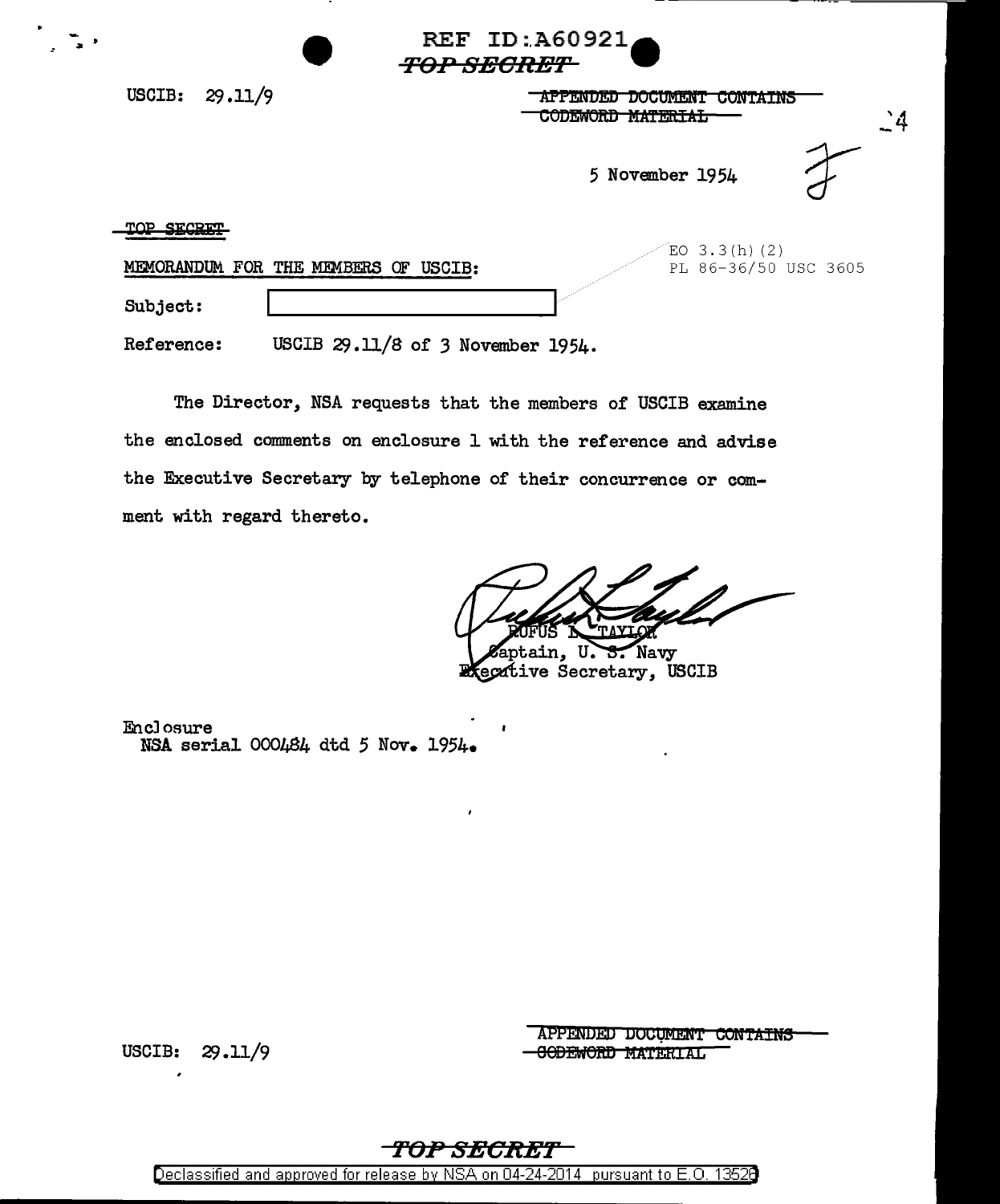|                                                           | REF ID:A60921<br><i><b>TOP SECRET</b></i>                                                                |  |  |  |  |
|-----------------------------------------------------------|----------------------------------------------------------------------------------------------------------|--|--|--|--|
| 29.11/9<br>USCIB:                                         | <b>LUCUMENT</b><br>APPENUED<br><b>UUNIAINS</b><br><u></u><br>$\mathbf{C}^4$<br><b>CODEWORD MAILMORAL</b> |  |  |  |  |
|                                                           | 5 November 1954                                                                                          |  |  |  |  |
| יתסיאים סמיי<br>MEMORANDUM FOR THE MEMBERS<br>USCIB:<br>Œ | EO 3.3(h)(2)<br>PL 86-36/50 USC 3605                                                                     |  |  |  |  |
| Subject:                                                  |                                                                                                          |  |  |  |  |

USCIB 29.11/8 of 3 November 1954. Reference:

The Director, NSA requests that the members of USCIB examine the enclosed comments on enclosure 1 with the reference and advise the Executive Secretary by telephone of their concurrence or comment with regard thereto.

Navy ain. U

ecative Secretary, USCIB

Enclosure NSA serial 000484 dtd 5 Nov. 1954.

 $29.11/9$ USCIB:

APPENDED DOCUMENT CONTAINS **CODEWORD MATERIAL** 

### *-TOP SECRET*

Declassified and approved for release by NSA on 04-24-2014 pursuant to E.O. 13526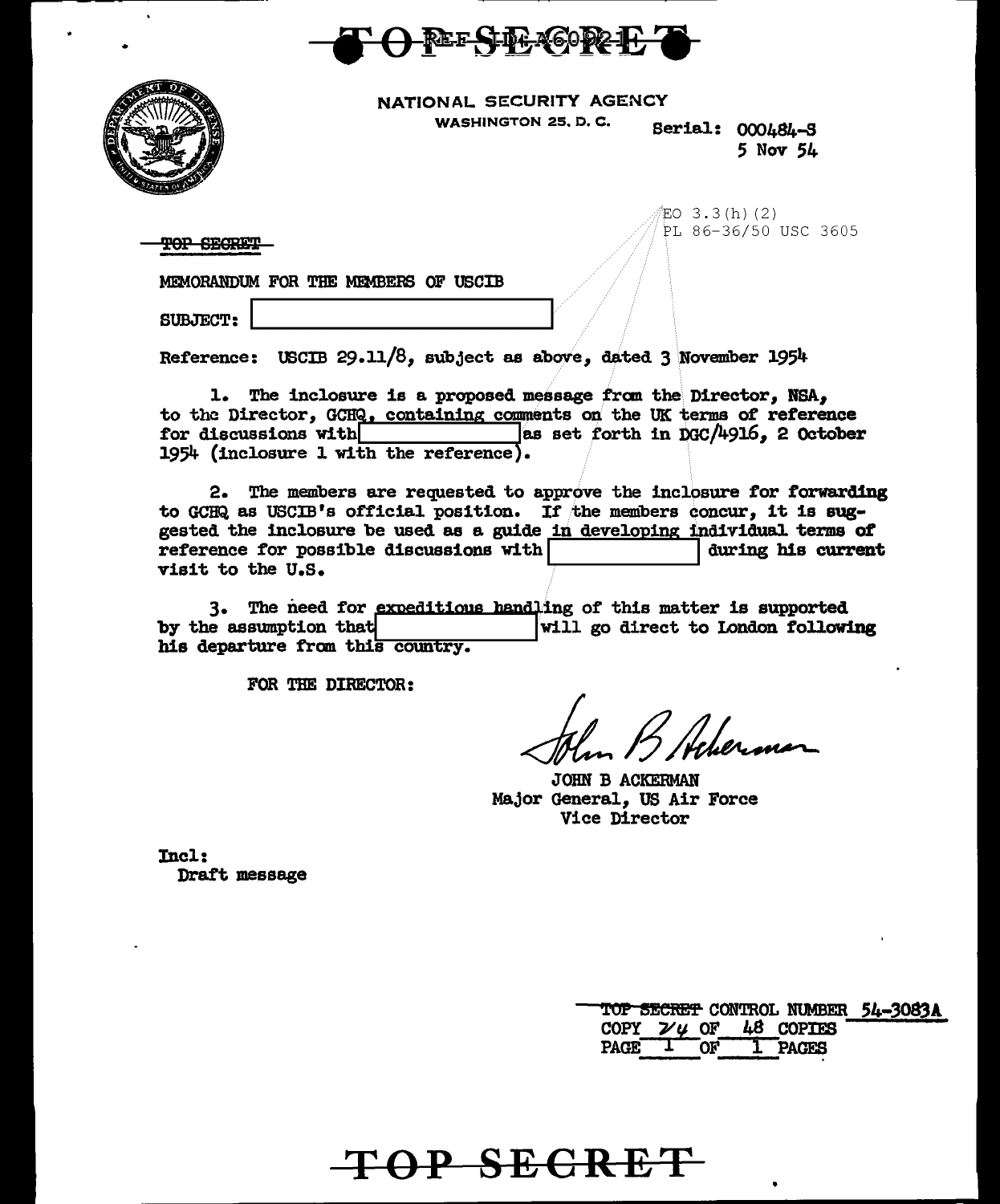



NATIONAL SECURITY AGENCY

WASHINGTON 25. D.C. Serial: 000484-S

*5* Nov 54

 $EO$  3.3(h)(2) PL 86-36/50 USC 3605

TOP SECRET

MEMORANDUM FOR THE MEMBERS OF USCIB

SUBJECT:

Reference: USCIB 29.11/8, subject as above, dated 3 November 1954

1. The inclosure is a proposed message from the Director, NSA, to the Director, GCHQ, containing comments on the UK terms of reference for discussions with  $\frac{1}{\text{max}}$  as set forth in DGC/4916, 2 October as set forth in  $DGC/4916$ . 2 October 1954 (inclosure 1 with the reference).

2. The members are requested to approve the inclosure for forwarding to GCHQ as USCIB's official position. If the members concur, it is suggested the inclosure be used as a guide in developing individual terms of reference for possible discussions with  $\frac{1}{2}$  during his current reference for possible discussions with  $\vert$ visit to the U.S.

3. The need for expeditious handling of this matter is supported<br>by the assumption that  $\begin{array}{c|c}\n\text{will go direct to London follow} \end{array}$ will go direct to London following his departure from this country.

**TOP SECRET** 

FOR THE DIRECTOR:

JOHN B ACKERMAN Major General, US Air Force Vice Director

Incl: Draft message

|             |                |                                       | TOP SECRET CONTROL NUMBER 54-3083A |
|-------------|----------------|---------------------------------------|------------------------------------|
|             |                | COPY $\mathcal{V}$ $\mu$ OF 48 COPTES |                                    |
| <b>PAGE</b> | O <sub>K</sub> | 1 PAGES                               |                                    |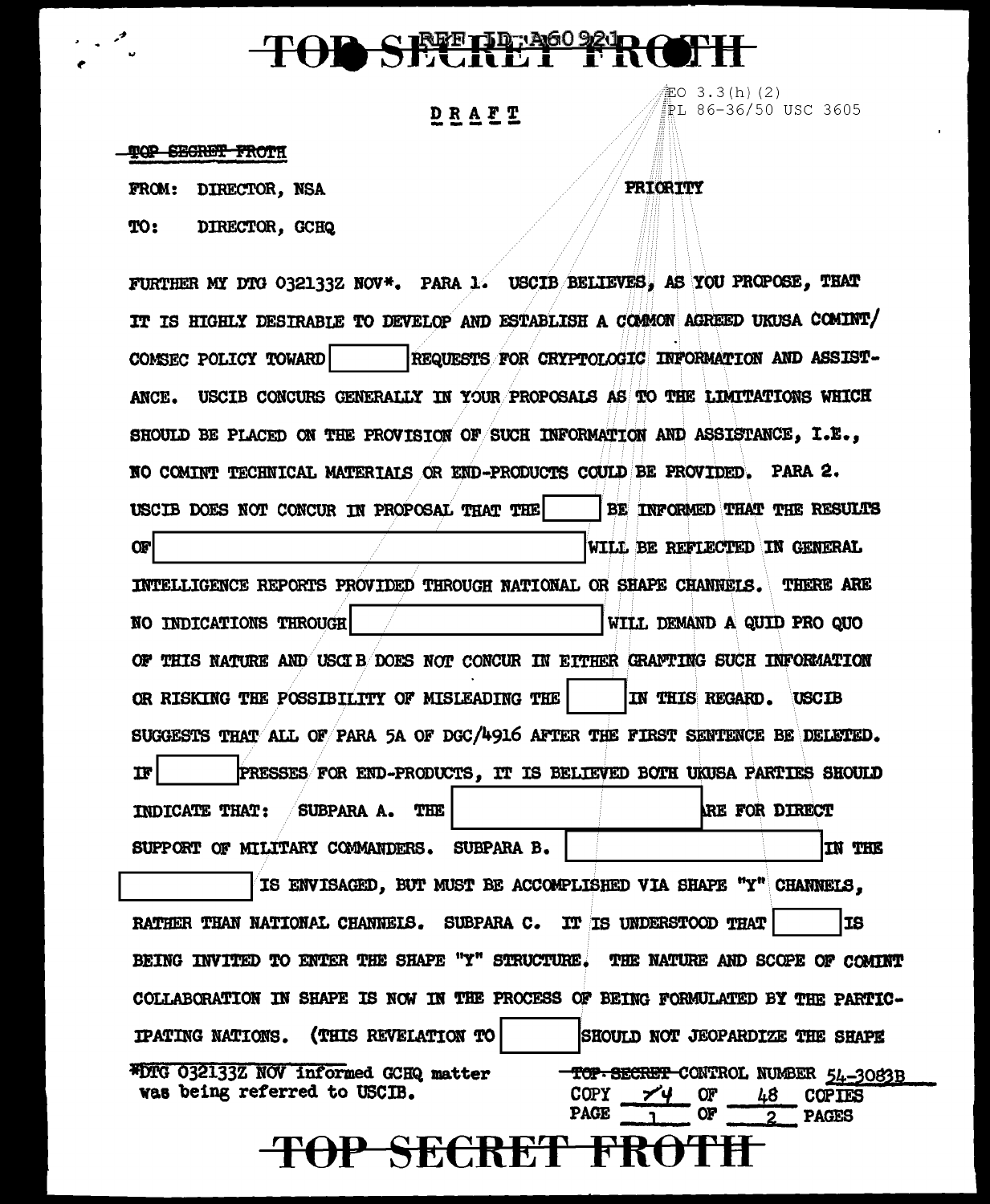# TOD SECRET FROTH

### DRAFT

記O 3.3(h)(2) PL 86-36/50 USC 3605

#### **TOP SECRET FROTH**

FROM: DIRECTOR, NSA

TO: DIRECTOR, GCHQ **PRIORITY** 

FURTHER MY DTG 032133Z NOV\*. PARA 1. USCIB BELIEVES, AS YOU PROPOSE, THAT IT IS HIGHLY DESIRABLE TO DEVELOP AND ESTABLISH A COMMON AGREED UKUSA COMINT/ COMSEC POLICY TOWARD REQUESTS FOR CRYPTOLOGIC INFORMATION AND ASSIST-USCIB CONCURS GENERALLY IN YOUR PROPOSALS AS TO THE LIMITATIONS WHICH ANCE. SHOULD BE PLACED ON THE PROVISION OF SUCH INFORMATION AND ASSISTANCE, I.E., NO COMINT TECHNICAL MATERIAIS OR END-PRODUCTS COULD BE PROVIDED. PARA 2. USCIB DOES NOT CONCUR IN PROPOSAL THAT THE BE INFORMED THAT THE RESULTS **OF** WILL BE REFLECTED IN GENERAL INTELLIGENCE REPORTS PROVIDED THROUGH NATIONAL OR SHAPE CHANNELS. THERE ARE NO INDICATIONS THROUGH WILL DEMAND A QUID PRO QUO OF THIS NATURE AND USCIB DOES NOT CONCUR IN EITHER GRAFTING SUCH INFORMATION OR RISKING THE POSSIBILITY OF MISLEADING THE IN THIS REGARD. **USCIB** SUGGESTS THAT ALL OF PARA 5A OF DGC/4916 AFTER THE FIRST SENTENCE BE DELETED.  $\mathbf{I}$ PRESSES FOR END-PRODUCTS, IT IS BELIEVED BOTH UKUSA PARTIES SHOULD INDICATE THAT: **RE FOR DIRECT** SUBPARA A. THE SUPPORT OF MILITARY COMMANDERS. SUBPARA B. IN THE IS ENVISAGED, BUT MUST BE ACCOMPLISHED VIA SHAPE "Y" CHANNELS, RATHER THAN NATIONAL CHANNELS. SUBPARA C. IT IS UNDERSTOOD THAT **IS** BEING INVITED TO ENTER THE SHAPE "Y" STRUCTURE. THE NATURE AND SCOPE OF COMINT COLLABORATION IN SHAPE IS NOW IN THE PROCESS OF BEING FORMULATED BY THE PARTIC-(THIS REVELATION TO **IPATING NATIONS.** SHOULD NOT JEOPARDIZE THE SHAPE #DTG 032133Z NOV informed GCHQ matter TOP SECRET CONTROL NUMBER 54-3083B was being referred to USCIB. **COPY COPIES PAGE PAGES** TOP SECRET F